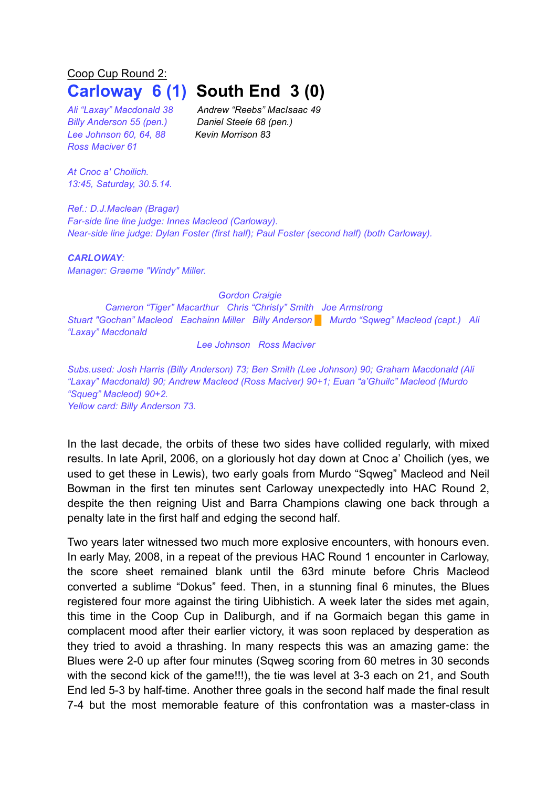## Coop Cup Round 2: **Carloway 6 (1) South End 3 (0)**

*Billy Anderson 55 (pen.) Daniel Steele 68 (pen.) Lee Johnson 60, 64, 88 Kevin Morrison 83 Ross Maciver 61*

*Ali "Laxay" Macdonald 38 Andrew "Reebs" MacIsaac 49* 

*At Cnoc a' Choilich. 13:45, Saturday, 30.5.14.*

*Ref.: D.J.Maclean (Bragar) Far-side line line judge: Innes Macleod (Carloway). Near-side line judge: Dylan Foster (first half); Paul Foster (second half) (both Carloway).*

*CARLOWAY: Manager: Graeme "Windy" Miller.*

*Gordon Craigie*

*Cameron "Tiger" Macarthur Chris "Christy" Smith Joe Armstrong Stuart "Gochan" Macleod Eachainn Miller Billy Anderson* █ *Murdo "Sqweg" Macleod (capt.) Ali "Laxay" Macdonald*

*Lee Johnson Ross Maciver*

*Subs.used: Josh Harris (Billy Anderson) 73; Ben Smith (Lee Johnson) 90; Graham Macdonald (Ali "Laxay" Macdonald) 90; Andrew Macleod (Ross Maciver) 90+1; Euan "a'Ghuilc" Macleod (Murdo "Squeg" Macleod) 90+2. Yellow card: Billy Anderson 73.*

In the last decade, the orbits of these two sides have collided regularly, with mixed results. In late April, 2006, on a gloriously hot day down at Cnoc a' Choilich (yes, we used to get these in Lewis), two early goals from Murdo "Sqweg" Macleod and Neil Bowman in the first ten minutes sent Carloway unexpectedly into HAC Round 2, despite the then reigning Uist and Barra Champions clawing one back through a penalty late in the first half and edging the second half.

Two years later witnessed two much more explosive encounters, with honours even. In early May, 2008, in a repeat of the previous HAC Round 1 encounter in Carloway, the score sheet remained blank until the 63rd minute before Chris Macleod converted a sublime "Dokus" feed. Then, in a stunning final 6 minutes, the Blues registered four more against the tiring Uibhistich. A week later the sides met again, this time in the Coop Cup in Daliburgh, and if na Gormaich began this game in complacent mood after their earlier victory, it was soon replaced by desperation as they tried to avoid a thrashing. In many respects this was an amazing game: the Blues were 2-0 up after four minutes (Sqweg scoring from 60 metres in 30 seconds with the second kick of the game!!!), the tie was level at 3-3 each on 21, and South End led 5-3 by half-time. Another three goals in the second half made the final result 7-4 but the most memorable feature of this confrontation was a master-class in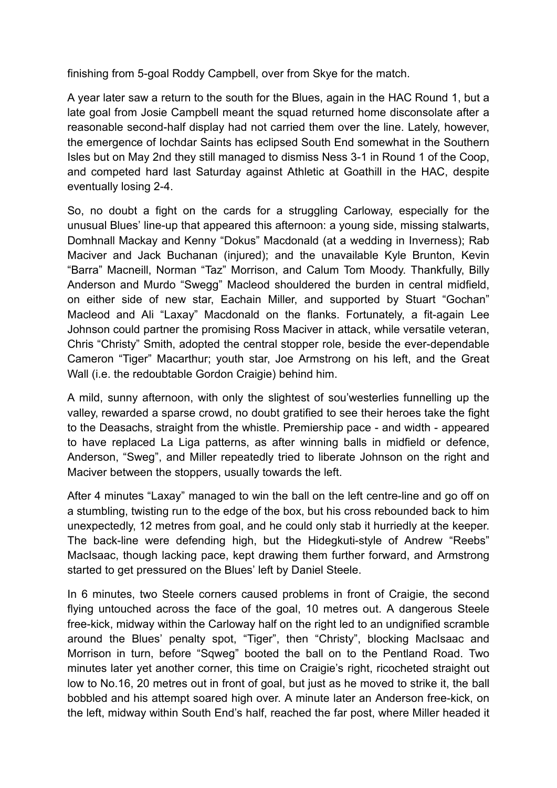finishing from 5-goal Roddy Campbell, over from Skye for the match.

A year later saw a return to the south for the Blues, again in the HAC Round 1, but a late goal from Josie Campbell meant the squad returned home disconsolate after a reasonable second-half display had not carried them over the line. Lately, however, the emergence of Iochdar Saints has eclipsed South End somewhat in the Southern Isles but on May 2nd they still managed to dismiss Ness 3-1 in Round 1 of the Coop, and competed hard last Saturday against Athletic at Goathill in the HAC, despite eventually losing 2-4.

So, no doubt a fight on the cards for a struggling Carloway, especially for the unusual Blues' line-up that appeared this afternoon: a young side, missing stalwarts, Domhnall Mackay and Kenny "Dokus" Macdonald (at a wedding in Inverness); Rab Maciver and Jack Buchanan (injured); and the unavailable Kyle Brunton, Kevin "Barra" Macneill, Norman "Taz" Morrison, and Calum Tom Moody. Thankfully, Billy Anderson and Murdo "Swegg" Macleod shouldered the burden in central midfield, on either side of new star, Eachain Miller, and supported by Stuart "Gochan" Macleod and Ali "Laxay" Macdonald on the flanks. Fortunately, a fit-again Lee Johnson could partner the promising Ross Maciver in attack, while versatile veteran, Chris "Christy" Smith, adopted the central stopper role, beside the ever-dependable Cameron "Tiger" Macarthur; youth star, Joe Armstrong on his left, and the Great Wall (i.e. the redoubtable Gordon Craigie) behind him.

A mild, sunny afternoon, with only the slightest of sou'westerlies funnelling up the valley, rewarded a sparse crowd, no doubt gratified to see their heroes take the fight to the Deasachs, straight from the whistle. Premiership pace - and width - appeared to have replaced La Liga patterns, as after winning balls in midfield or defence, Anderson, "Sweg", and Miller repeatedly tried to liberate Johnson on the right and Maciver between the stoppers, usually towards the left.

After 4 minutes "Laxay" managed to win the ball on the left centre-line and go off on a stumbling, twisting run to the edge of the box, but his cross rebounded back to him unexpectedly, 12 metres from goal, and he could only stab it hurriedly at the keeper. The back-line were defending high, but the Hidegkuti-style of Andrew "Reebs" MacIsaac, though lacking pace, kept drawing them further forward, and Armstrong started to get pressured on the Blues' left by Daniel Steele.

In 6 minutes, two Steele corners caused problems in front of Craigie, the second flying untouched across the face of the goal, 10 metres out. A dangerous Steele free-kick, midway within the Carloway half on the right led to an undignified scramble around the Blues' penalty spot, "Tiger", then "Christy", blocking MacIsaac and Morrison in turn, before "Sqweg" booted the ball on to the Pentland Road. Two minutes later yet another corner, this time on Craigie's right, ricocheted straight out low to No.16, 20 metres out in front of goal, but just as he moved to strike it, the ball bobbled and his attempt soared high over. A minute later an Anderson free-kick, on the left, midway within South End's half, reached the far post, where Miller headed it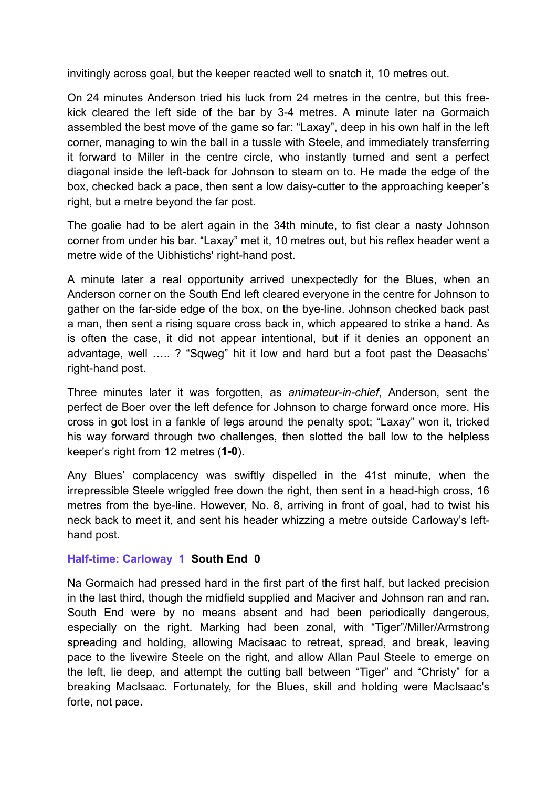invitingly across goal, but the keeper reacted well to snatch it, 10 metres out.

On 24 minutes Anderson tried his luck from 24 metres in the centre, but this freekick cleared the left side of the bar by 3-4 metres. A minute later na Gormaich assembled the best move of the game so far: "Laxay", deep in his own half in the left corner, managing to win the ball in a tussle with Steele, and immediately transferring it forward to Miller in the centre circle, who instantly turned and sent a perfect diagonal inside the left-back for Johnson to steam on to. He made the edge of the box, checked back a pace, then sent a low daisy-cutter to the approaching keeper's right, but a metre beyond the far post.

The goalie had to be alert again in the 34th minute, to fist clear a nasty Johnson corner from under his bar. "Laxay" met it, 10 metres out, but his reflex header went a metre wide of the Uibhistichs' right-hand post.

A minute later a real opportunity arrived unexpectedly for the Blues, when an Anderson corner on the South End left cleared everyone in the centre for Johnson to gather on the far-side edge of the box, on the bye-line. Johnson checked back past a man, then sent a rising square cross back in, which appeared to strike a hand. As is often the case, it did not appear intentional, but if it denies an opponent an advantage, well ….. ? "Sqweg" hit it low and hard but a foot past the Deasachs' right-hand post.

Three minutes later it was forgotten, as *animateur-in-chief*, Anderson, sent the perfect de Boer over the left defence for Johnson to charge forward once more. His cross in got lost in a fankle of legs around the penalty spot; "Laxay" won it, tricked his way forward through two challenges, then slotted the ball low to the helpless keeper's right from 12 metres (**1-0**).

Any Blues' complacency was swiftly dispelled in the 41st minute, when the irrepressible Steele wriggled free down the right, then sent in a head-high cross, 16 metres from the bye-line. However, No. 8, arriving in front of goal, had to twist his neck back to meet it, and sent his header whizzing a metre outside Carloway's lefthand post.

## **Half-time: Carloway 1 South End 0**

Na Gormaich had pressed hard in the first part of the first half, but lacked precision in the last third, though the midfield supplied and Maciver and Johnson ran and ran. South End were by no means absent and had been periodically dangerous, especially on the right. Marking had been zonal, with "Tiger"/Miller/Armstrong spreading and holding, allowing Macisaac to retreat, spread, and break, leaving pace to the livewire Steele on the right, and allow Allan Paul Steele to emerge on the left, lie deep, and attempt the cutting ball between "Tiger" and "Christy" for a breaking MacIsaac. Fortunately, for the Blues, skill and holding were MacIsaac's forte, not pace.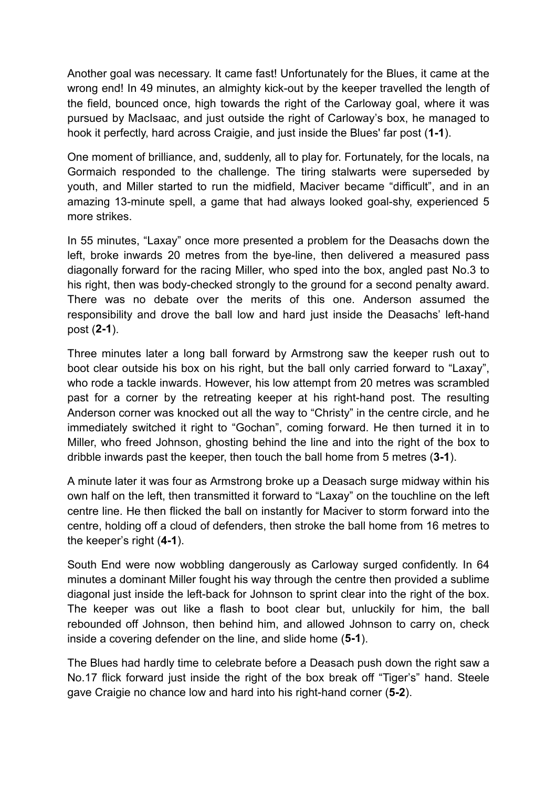Another goal was necessary. It came fast! Unfortunately for the Blues, it came at the wrong end! In 49 minutes, an almighty kick-out by the keeper travelled the length of the field, bounced once, high towards the right of the Carloway goal, where it was pursued by MacIsaac, and just outside the right of Carloway's box, he managed to hook it perfectly, hard across Craigie, and just inside the Blues' far post (**1-1**).

One moment of brilliance, and, suddenly, all to play for. Fortunately, for the locals, na Gormaich responded to the challenge. The tiring stalwarts were superseded by youth, and Miller started to run the midfield, Maciver became "difficult", and in an amazing 13-minute spell, a game that had always looked goal-shy, experienced 5 more strikes.

In 55 minutes, "Laxay" once more presented a problem for the Deasachs down the left, broke inwards 20 metres from the bye-line, then delivered a measured pass diagonally forward for the racing Miller, who sped into the box, angled past No.3 to his right, then was body-checked strongly to the ground for a second penalty award. There was no debate over the merits of this one. Anderson assumed the responsibility and drove the ball low and hard just inside the Deasachs' left-hand post (**2-1**).

Three minutes later a long ball forward by Armstrong saw the keeper rush out to boot clear outside his box on his right, but the ball only carried forward to "Laxay", who rode a tackle inwards. However, his low attempt from 20 metres was scrambled past for a corner by the retreating keeper at his right-hand post. The resulting Anderson corner was knocked out all the way to "Christy" in the centre circle, and he immediately switched it right to "Gochan", coming forward. He then turned it in to Miller, who freed Johnson, ghosting behind the line and into the right of the box to dribble inwards past the keeper, then touch the ball home from 5 metres (**3-1**).

A minute later it was four as Armstrong broke up a Deasach surge midway within his own half on the left, then transmitted it forward to "Laxay" on the touchline on the left centre line. He then flicked the ball on instantly for Maciver to storm forward into the centre, holding off a cloud of defenders, then stroke the ball home from 16 metres to the keeper's right (**4-1**).

South End were now wobbling dangerously as Carloway surged confidently. In 64 minutes a dominant Miller fought his way through the centre then provided a sublime diagonal just inside the left-back for Johnson to sprint clear into the right of the box. The keeper was out like a flash to boot clear but, unluckily for him, the ball rebounded off Johnson, then behind him, and allowed Johnson to carry on, check inside a covering defender on the line, and slide home (**5-1**).

The Blues had hardly time to celebrate before a Deasach push down the right saw a No.17 flick forward just inside the right of the box break off "Tiger's" hand. Steele gave Craigie no chance low and hard into his right-hand corner (**5-2**).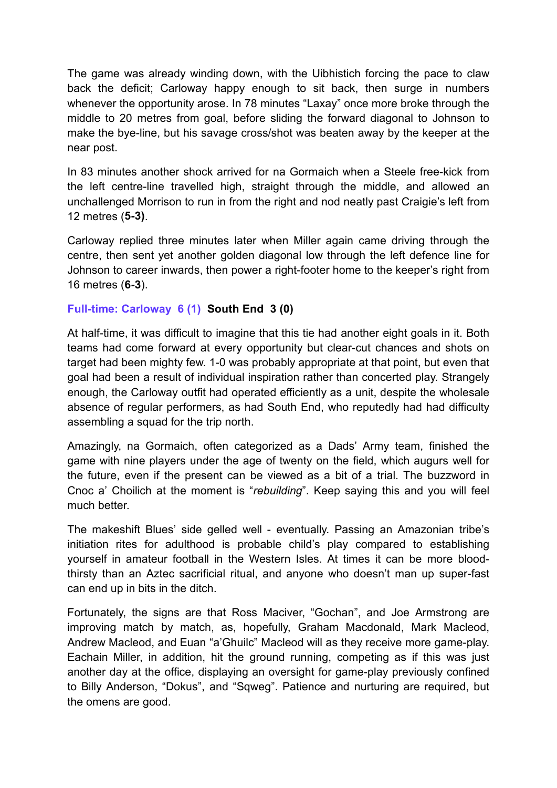The game was already winding down, with the Uibhistich forcing the pace to claw back the deficit; Carloway happy enough to sit back, then surge in numbers whenever the opportunity arose. In 78 minutes "Laxay" once more broke through the middle to 20 metres from goal, before sliding the forward diagonal to Johnson to make the bye-line, but his savage cross/shot was beaten away by the keeper at the near post.

In 83 minutes another shock arrived for na Gormaich when a Steele free-kick from the left centre-line travelled high, straight through the middle, and allowed an unchallenged Morrison to run in from the right and nod neatly past Craigie's left from 12 metres (**5-3)**.

Carloway replied three minutes later when Miller again came driving through the centre, then sent yet another golden diagonal low through the left defence line for Johnson to career inwards, then power a right-footer home to the keeper's right from 16 metres (**6-3**).

## **Full-time: Carloway 6 (1) South End 3 (0)**

At half-time, it was difficult to imagine that this tie had another eight goals in it. Both teams had come forward at every opportunity but clear-cut chances and shots on target had been mighty few. 1-0 was probably appropriate at that point, but even that goal had been a result of individual inspiration rather than concerted play. Strangely enough, the Carloway outfit had operated efficiently as a unit, despite the wholesale absence of regular performers, as had South End, who reputedly had had difficulty assembling a squad for the trip north.

Amazingly, na Gormaich, often categorized as a Dads' Army team, finished the game with nine players under the age of twenty on the field, which augurs well for the future, even if the present can be viewed as a bit of a trial. The buzzword in Cnoc a' Choilich at the moment is "*rebuilding*". Keep saying this and you will feel much better.

The makeshift Blues' side gelled well - eventually. Passing an Amazonian tribe's initiation rites for adulthood is probable child's play compared to establishing yourself in amateur football in the Western Isles. At times it can be more bloodthirsty than an Aztec sacrificial ritual, and anyone who doesn't man up super-fast can end up in bits in the ditch.

Fortunately, the signs are that Ross Maciver, "Gochan", and Joe Armstrong are improving match by match, as, hopefully, Graham Macdonald, Mark Macleod, Andrew Macleod, and Euan "a'Ghuilc" Macleod will as they receive more game-play. Eachain Miller, in addition, hit the ground running, competing as if this was just another day at the office, displaying an oversight for game-play previously confined to Billy Anderson, "Dokus", and "Sqweg". Patience and nurturing are required, but the omens are good.